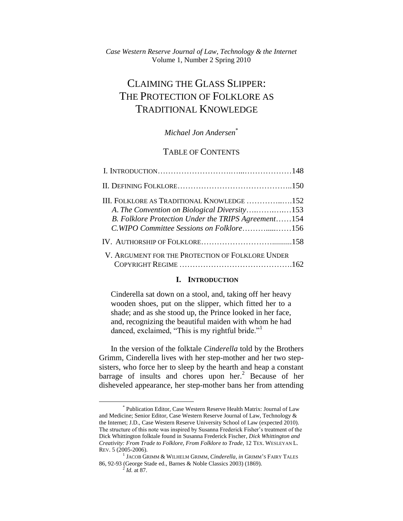# CLAIMING THE GLASS SLIPPER: THE PROTECTION OF FOLKLORE AS TRADITIONAL KNOWLEDGE

## *Michael Jon Andersen*\*

# TABLE OF CONTENTS

| III. FOLKLORE AS TRADITIONAL KNOWLEDGE 152<br>A. The Convention on Biological Diversity153<br>B. Folklore Protection Under the TRIPS Agreement154<br>C.WIPO Committee Sessions on Folklore156 |  |
|-----------------------------------------------------------------------------------------------------------------------------------------------------------------------------------------------|--|
|                                                                                                                                                                                               |  |
| V. ARGUMENT FOR THE PROTECTION OF FOLKLORE UNDER                                                                                                                                              |  |

### **I. INTRODUCTION**

Cinderella sat down on a stool, and, taking off her heavy wooden shoes, put on the slipper, which fitted her to a shade; and as she stood up, the Prince looked in her face, and, recognizing the beautiful maiden with whom he had danced, exclaimed, "This is my rightful bride."<sup>1</sup>

In the version of the folktale *Cinderella* told by the Brothers Grimm, Cinderella lives with her step-mother and her two stepsisters, who force her to sleep by the hearth and heap a constant barrage of insults and chores upon her.<sup>2</sup> Because of her disheveled appearance, her step-mother bans her from attending

<sup>\*</sup> Publication Editor, Case Western Reserve Health Matrix: Journal of Law and Medicine; Senior Editor, Case Western Reserve Journal of Law, Technology & the Internet; J.D., Case Western Reserve University School of Law (expected 2010). The structure of this note was inspired by Susanna Frederick Fisher"s treatment of the Dick Whittington folktale found in Susanna Frederick Fischer, *Dick Whittington and Creativity: From Trade to Folklore, From Folklore to Trade*, 12 TEX. WESLEYAN L. REV. 5 (2005-2006).

<sup>1</sup> JACOB GRIMM & WILHELM GRIMM, *Cinderella, in* GRIMM"S FAIRY TALES 86, 92-93 (George Stade ed., Barnes & Noble Classics 2003) (1869). 2 *Id.* at 87.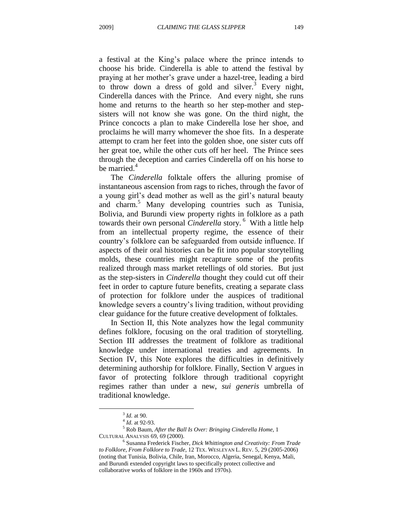a festival at the King"s palace where the prince intends to choose his bride. Cinderella is able to attend the festival by praying at her mother"s grave under a hazel-tree, leading a bird to throw down a dress of gold and silver.<sup>3</sup> Every night, Cinderella dances with the Prince. And every night, she runs home and returns to the hearth so her step-mother and stepsisters will not know she was gone. On the third night, the Prince concocts a plan to make Cinderella lose her shoe, and proclaims he will marry whomever the shoe fits. In a desperate attempt to cram her feet into the golden shoe, one sister cuts off her great toe, while the other cuts off her heel. The Prince sees through the deception and carries Cinderella off on his horse to be married. $4$ 

The *Cinderella* folktale offers the alluring promise of instantaneous ascension from rags to riches, through the favor of a young girl's dead mother as well as the girl's natural beauty and charm.<sup>5</sup> Many developing countries such as Tunisia, Bolivia, and Burundi view property rights in folklore as a path towards their own personal *Cinderella* story.<sup>6</sup> With a little help from an intellectual property regime, the essence of their country"s folklore can be safeguarded from outside influence. If aspects of their oral histories can be fit into popular storytelling molds, these countries might recapture some of the profits realized through mass market retellings of old stories. But just as the step-sisters in *Cinderella* thought they could cut off their feet in order to capture future benefits, creating a separate class of protection for folklore under the auspices of traditional knowledge severs a country"s living tradition, without providing clear guidance for the future creative development of folktales.

In Section II, this Note analyzes how the legal community defines folklore, focusing on the oral tradition of storytelling. Section III addresses the treatment of folklore as traditional knowledge under international treaties and agreements. In Section IV, this Note explores the difficulties in definitively determining authorship for folklore. Finally, Section V argues in favor of protecting folklore through traditional copyright regimes rather than under a new, *sui generis* umbrella of traditional knowledge.

<sup>3</sup> *Id.* at 90.

<sup>4</sup> *Id.* at 92-93.

<sup>5</sup> Rob Baum, *After the Ball Is Over: Bringing Cinderella Home*, 1 CULTURAL ANALYSIS 69, 69 (2000).

<sup>6</sup> Susanna Frederick Fischer, *Dick Whittington and Creativity: From Trade to Folklore, From Folklore to Trade*, 12 TEX. WESLEYAN L. REV. 5, 29 (2005-2006) (noting that Tunisia, Bolivia, Chile, Iran, Morocco, Algeria, Senegal, Kenya, Mali, and Burundi extended copyright laws to specifically protect collective and collaborative works of folklore in the 1960s and 1970s).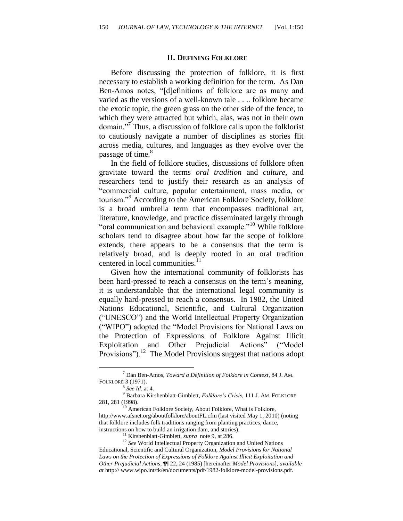#### **II. DEFINING FOLKLORE**

Before discussing the protection of folklore, it is first necessary to establish a working definition for the term. As Dan Ben-Amos notes, "[d]efinitions of folklore are as many and varied as the versions of a well-known tale . . .. folklore became the exotic topic, the green grass on the other side of the fence, to which they were attracted but which, alas, was not in their own domain."<sup>7</sup> Thus, a discussion of folklore calls upon the folklorist to cautiously navigate a number of disciplines as stories flit across media, cultures, and languages as they evolve over the passage of time.<sup>8</sup>

In the field of folklore studies, discussions of folklore often gravitate toward the terms *oral tradition* and *culture*, and researchers tend to justify their research as an analysis of "commercial culture, popular entertainment, mass media, or tourism."<sup>9</sup> According to the American Folklore Society, folklore is a broad umbrella term that encompasses traditional art, literature, knowledge, and practice disseminated largely through "oral communication and behavioral example."<sup>10</sup> While folklore scholars tend to disagree about how far the scope of folklore extends, there appears to be a consensus that the term is relatively broad, and is deeply rooted in an oral tradition centered in local communities.<sup>1</sup>

Given how the international community of folklorists has been hard-pressed to reach a consensus on the term's meaning, it is understandable that the international legal community is equally hard-pressed to reach a consensus. In 1982, the United Nations Educational, Scientific, and Cultural Organization ("UNESCO") and the World Intellectual Property Organization ("WIPO") adopted the "Model Provisions for National Laws on the Protection of Expressions of Folklore Against Illicit Exploitation and Other Prejudicial Actions" ("Model Provisions").<sup>12</sup> The Model Provisions suggest that nations adopt

<sup>7</sup> Dan Ben-Amos, *Toward a Definition of Folklore in Context*, 84 J. AM. FOLKLORE 3 (1971).

<sup>8</sup> *See Id.* at 4.

<sup>9</sup> Barbara Kirshenblatt-Gimblett, *Folklore's Crisis*, 111 J. AM. FOLKLORE 281, 281 (1998).

<sup>&</sup>lt;sup>10</sup> American Folklore Society, About Folklore, What is Folklore, http://www.afsnet.org/aboutfolklore/aboutFL.cfm (last visited May 1, 2010) (noting that folklore includes folk traditions ranging from planting practices, dance, instructions on how to build an irrigation dam, and stories).

<sup>11</sup> Kirshenblatt-Gimblett, *supra* note 9, at 286.

<sup>&</sup>lt;sup>12</sup> See World Intellectual Property Organization and United Nations Educational, Scientific and Cultural Organization, *Model Provisions for National Laws on the Protection of Expressions of Folklore Against Illicit Exploitation and Other Prejudicial Actions*, ¶¶ 22, 24 (1985) [hereinafter *Model Provisions*], *available at* http:// www.wipo.int/tk/en/documents/pdf/1982-folklore-model-provisions.pdf.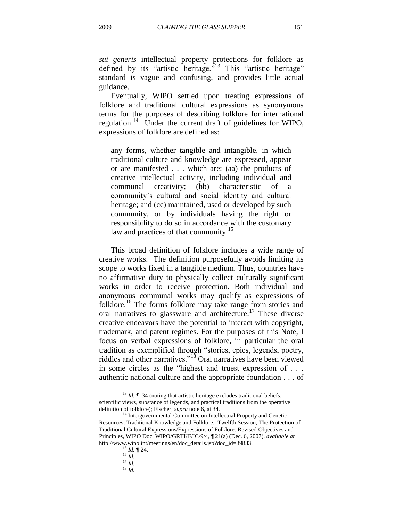*sui generis* intellectual property protections for folklore as defined by its "artistic heritage."<sup>13</sup> This "artistic heritage" standard is vague and confusing, and provides little actual guidance.

Eventually, WIPO settled upon treating expressions of folklore and traditional cultural expressions as synonymous terms for the purposes of describing folklore for international regulation.<sup>14</sup> Under the current draft of guidelines for WIPO, expressions of folklore are defined as:

any forms, whether tangible and intangible, in which traditional culture and knowledge are expressed, appear or are manifested . . . which are: (aa) the products of creative intellectual activity, including individual and communal creativity; (bb) characteristic of a community"s cultural and social identity and cultural heritage; and (cc) maintained, used or developed by such community, or by individuals having the right or responsibility to do so in accordance with the customary law and practices of that community.<sup>15</sup>

This broad definition of folklore includes a wide range of creative works. The definition purposefully avoids limiting its scope to works fixed in a tangible medium. Thus, countries have no affirmative duty to physically collect culturally significant works in order to receive protection. Both individual and anonymous communal works may qualify as expressions of folklore.<sup>16</sup> The forms folklore may take range from stories and oral narratives to glassware and architecture.<sup>17</sup> These diverse creative endeavors have the potential to interact with copyright, trademark, and patent regimes. For the purposes of this Note, I focus on verbal expressions of folklore, in particular the oral tradition as exemplified through "stories, epics, legends, poetry, riddles and other narratives."<sup>18</sup> Oral narratives have been viewed in some circles as the "highest and truest expression of . . . authentic national culture and the appropriate foundation . . . of

<sup>&</sup>lt;sup>13</sup> *Id.*  $\blacksquare$  34 (noting that artistic heritage excludes traditional beliefs, scientific views, substance of legends, and practical traditions from the operative definition of folklore); Fischer, *supra* note 6, at 34.

<sup>&</sup>lt;sup>14</sup> Intergovernmental Committee on Intellectual Property and Genetic Resources, Traditional Knowledge and Folklore: Twelfth Session, The Protection of Traditional Cultural Expressions/Expressions of Folklore: Revised Objectives and Principles, WIPO Doc. WIPO/GRTKF/IC/9/4, ¶ 21(a) (Dec. 6, 2007), *available at*  http://www.wipo.int/meetings/en/doc\_details.jsp?doc\_id=89833.

<sup>15</sup> *Id.* ¶ 24. <sup>16</sup> *Id.*

<sup>17</sup> *Id.*

<sup>18</sup> *Id.*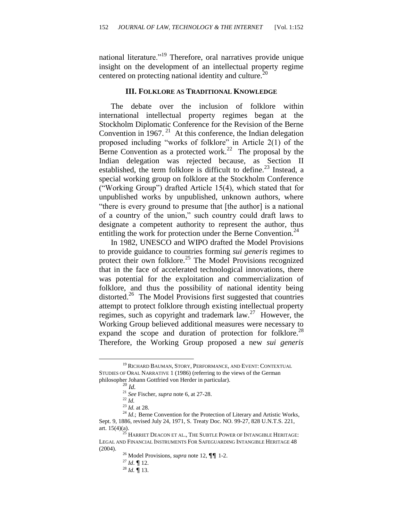national literature."<sup>19</sup> Therefore, oral narratives provide unique insight on the development of an intellectual property regime centered on protecting national identity and culture.<sup>20</sup>

#### **III. FOLKLORE AS TRADITIONAL KNOWLEDGE**

The debate over the inclusion of folklore within international intellectual property regimes began at the Stockholm Diplomatic Conference for the Revision of the Berne Convention in  $1967$ .<sup>21</sup> At this conference, the Indian delegation proposed including "works of folklore" in Article 2(1) of the Berne Convention as a protected work.<sup>22</sup> The proposal by the Indian delegation was rejected because, as Section II established, the term folklore is difficult to define.<sup>23</sup> Instead, a special working group on folklore at the Stockholm Conference ("Working Group") drafted Article 15(4), which stated that for unpublished works by unpublished, unknown authors, where "there is every ground to presume that [the author] is a national of a country of the union," such country could draft laws to designate a competent authority to represent the author, thus entitling the work for protection under the Berne Convention.<sup>24</sup>

In 1982, UNESCO and WIPO drafted the Model Provisions to provide guidance to countries forming *sui generis* regimes to protect their own folklore.<sup>25</sup> The Model Provisions recognized that in the face of accelerated technological innovations, there was potential for the exploitation and commercialization of folklore, and thus the possibility of national identity being distorted.<sup>26</sup> The Model Provisions first suggested that countries attempt to protect folklore through existing intellectual property regimes, such as copyright and trademark law.<sup>27</sup> However, the Working Group believed additional measures were necessary to expand the scope and duration of protection for folklore.<sup>28</sup> Therefore, the Working Group proposed a new *sui generis*

 $\overline{a}$ 

<sup>27</sup> *Id*. ¶ 12.

<sup>&</sup>lt;sup>19</sup> RICHARD BAUMAN, STORY, PERFORMANCE, AND EVENT: CONTEXTUAL STUDIES OF ORAL NARRATIVE 1 (1986) (referring to the views of the German philosopher Johann Gottfried von Herder in particular).

<sup>20</sup> *Id.*

<sup>21</sup> *See* Fischer, *supra* note 6, at 27-28.

 $^{22}$  *Id.* 

<sup>23</sup> *Id.* at 28.

<sup>&</sup>lt;sup>24</sup> *Id.*; Berne Convention for the Protection of Literary and Artistic Works, Sept. 9, 1886, revised July 24, 1971, S. Treaty Doc. NO. 99-27, 828 U.N.T.S. 221, art.  $15(4)(a)$ .

HARRIET DEACON ET AL., THE SUBTLE POWER OF INTANGIBLE HERITAGE: LEGAL AND FINANCIAL INSTRUMENTS FOR SAFEGUARDING INTANGIBLE HERITAGE 48 (2004).

<sup>26</sup> Model Provisions, *supra* note 12, ¶¶ 1-2.

<sup>28</sup> *Id.* ¶ 13.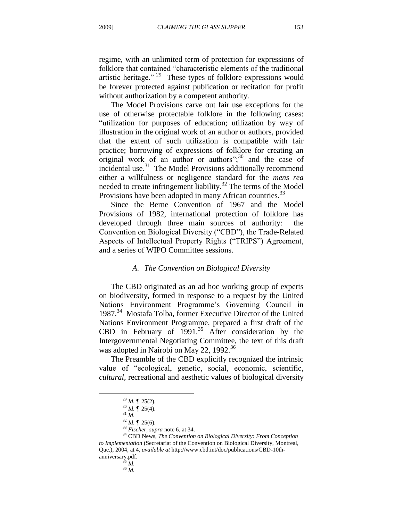regime, with an unlimited term of protection for expressions of folklore that contained "characteristic elements of the traditional artistic heritage."<sup>29</sup> These types of folklore expressions would be forever protected against publication or recitation for profit without authorization by a competent authority.

The Model Provisions carve out fair use exceptions for the use of otherwise protectable folklore in the following cases: "utilization for purposes of education; utilization by way of illustration in the original work of an author or authors, provided that the extent of such utilization is compatible with fair practice; borrowing of expressions of folklore for creating an original work of an author or authors"; $30$  and the case of incidental use.<sup>31</sup> The Model Provisions additionally recommend either a willfulness or negligence standard for the *mens rea* needed to create infringement liability.<sup>32</sup> The terms of the Model Provisions have been adopted in many African countries.<sup>33</sup>

Since the Berne Convention of 1967 and the Model Provisions of 1982, international protection of folklore has developed through three main sources of authority: the Convention on Biological Diversity ("CBD"), the Trade-Related Aspects of Intellectual Property Rights ("TRIPS") Agreement, and a series of WIPO Committee sessions.

#### *A. The Convention on Biological Diversity*

The CBD originated as an ad hoc working group of experts on biodiversity, formed in response to a request by the United Nations Environment Programme's Governing Council in 1987.<sup>34</sup> Mostafa Tolba, former Executive Director of the United Nations Environment Programme, prepared a first draft of the CBD in February of  $1991$ .<sup>35</sup> After consideration by the Intergovernmental Negotiating Committee, the text of this draft was adopted in Nairobi on May 22, 1992.<sup>36</sup>

The Preamble of the CBD explicitly recognized the intrinsic value of "ecological, genetic, social, economic, scientific, *cultural*, recreational and aesthetic values of biological diversity

<sup>29</sup> *Id.* ¶ 25(2).

<sup>30</sup> *Id.* ¶ 25(4).

<sup>31</sup> *Id.*

<sup>32</sup> *Id.* ¶ 25(6).

<sup>33</sup> *Fischer*, *supra* note 6, at 34.

<sup>34</sup> CBD News, *The Convention on Biological Diversity: From Conception to Implementation* (Secretariat of the Convention on Biological Diversity, Montreal, Que.), 2004, at 4, *available at* http://www.cbd.int/doc/publications/CBD-10thanniversary.pdf.

<sup>35</sup> *Id.*

<sup>36</sup> *Id.*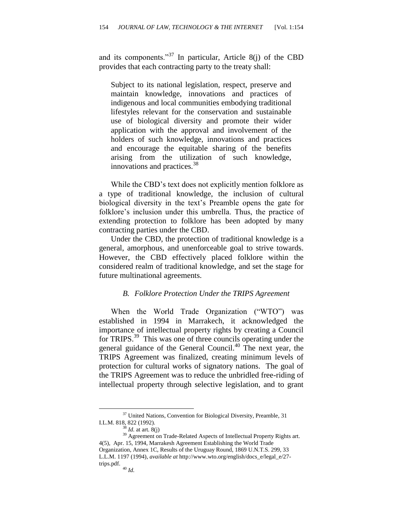and its components."<sup>37</sup> In particular, Article 8(j) of the CBD provides that each contracting party to the treaty shall:

Subject to its national legislation, respect, preserve and maintain knowledge, innovations and practices of indigenous and local communities embodying traditional lifestyles relevant for the conservation and sustainable use of biological diversity and promote their wider application with the approval and involvement of the holders of such knowledge, innovations and practices and encourage the equitable sharing of the benefits arising from the utilization of such knowledge, innovations and practices.<sup>38</sup>

While the CBD"s text does not explicitly mention folklore as a type of traditional knowledge, the inclusion of cultural biological diversity in the text's Preamble opens the gate for folklore's inclusion under this umbrella. Thus, the practice of extending protection to folklore has been adopted by many contracting parties under the CBD.

Under the CBD, the protection of traditional knowledge is a general, amorphous, and unenforceable goal to strive towards. However, the CBD effectively placed folklore within the considered realm of traditional knowledge, and set the stage for future multinational agreements.

#### *B. Folklore Protection Under the TRIPS Agreement*

When the World Trade Organization ("WTO") was established in 1994 in Marrakech, it acknowledged the importance of intellectual property rights by creating a Council for TRIPS.<sup>39</sup> This was one of three councils operating under the general guidance of the General Council.<sup>40</sup> The next year, the TRIPS Agreement was finalized, creating minimum levels of protection for cultural works of signatory nations. The goal of the TRIPS Agreement was to reduce the unbridled free-riding of intellectual property through selective legislation, and to grant

<sup>&</sup>lt;sup>37</sup> United Nations, Convention for Biological Diversity, Preamble, 31 I.L.M. 818, 822 (1992).

 $38$  *Id.* at art. 8(j)

<sup>&</sup>lt;sup>39</sup> Agreement on Trade-Related Aspects of Intellectual Property Rights art. 4(5), Apr. 15, 1994, Marrakesh Agreement Establishing the World Trade Organization, Annex 1C, Results of the Uruguay Round, 1869 U.N.T.S. 299, 33 L.L.M. 1197 (1994), *available at* http://www.wto.org/english/docs\_e/legal\_e/27 trips.pdf.

<sup>40</sup> *Id.*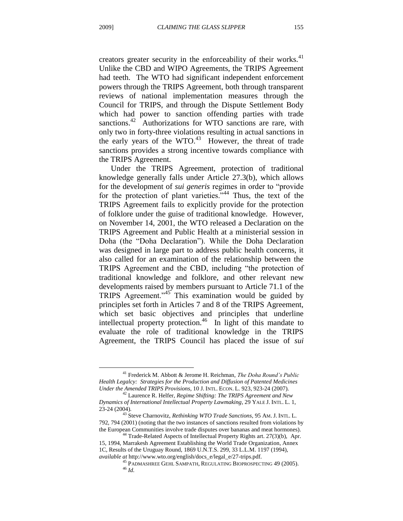$\overline{a}$ 

creators greater security in the enforceability of their works. $41$ Unlike the CBD and WIPO Agreements, the TRIPS Agreement had teeth. The WTO had significant independent enforcement powers through the TRIPS Agreement, both through transparent reviews of national implementation measures through the Council for TRIPS, and through the Dispute Settlement Body which had power to sanction offending parties with trade sanctions.<sup>42</sup> Authorizations for WTO sanctions are rare, with only two in forty-three violations resulting in actual sanctions in the early years of the WTO.<sup>43</sup> However, the threat of trade sanctions provides a strong incentive towards compliance with the TRIPS Agreement.

Under the TRIPS Agreement, protection of traditional knowledge generally falls under Article 27.3(b), which allows for the development of *sui generis* regimes in order to "provide for the protection of plant varieties."<sup>44</sup> Thus, the text of the TRIPS Agreement fails to explicitly provide for the protection of folklore under the guise of traditional knowledge. However, on November 14, 2001, the WTO released a Declaration on the TRIPS Agreement and Public Health at a ministerial session in Doha (the "Doha Declaration"). While the Doha Declaration was designed in large part to address public health concerns, it also called for an examination of the relationship between the TRIPS Agreement and the CBD, including "the protection of traditional knowledge and folklore, and other relevant new developments raised by members pursuant to Article 71.1 of the TRIPS Agreement."<sup>45</sup> This examination would be guided by principles set forth in Articles 7 and 8 of the TRIPS Agreement, which set basic objectives and principles that underline intellectual property protection.<sup>46</sup> In light of this mandate to evaluate the role of traditional knowledge in the TRIPS Agreement, the TRIPS Council has placed the issue of *sui* 

<sup>41</sup> Frederick M. Abbott & Jerome H. Reichman, *The Doha Round's Public Health Legalcy: Strategies for the Production and Diffusion of Patented Medicines Under the Amended TRIPS Provisions*, 10 J. INTL. ECON. L. 923, 923-24 (2007).

<sup>42</sup> Laurence R. Helfer, *Regime Shifting: The TRIPS Agreement and New Dynamics of International Intellectual Property Lawmaking*, 29 YALE J. INTL. L. 1, 23-24 (2004).

<sup>43</sup> Steve Charnovitz, *Rethinking WTO Trade Sanctions*, 95 AM. J. INTL. L. 792, 794 (2001) (noting that the two instances of sanctions resulted from violations by the European Communities involve trade disputes over bananas and meat hormones).

 $44$  Trade-Related Aspects of Intellectual Property Rights art. 27(3)(b), Apr. 15, 1994, Marrakesh Agreement Establishing the World Trade Organization, Annex 1C, Results of the Uruguay Round, 1869 U.N.T.S. 299, 33 L.L.M. 1197 (1994), *available at* http://www.wto.org/english/docs\_e/legal\_e/27-trips.pdf.

<sup>45</sup> PADMASHREE GEHL SAMPATH, REGULATING BIOPROSPECTING 49 (2005). <sup>46</sup> *Id.*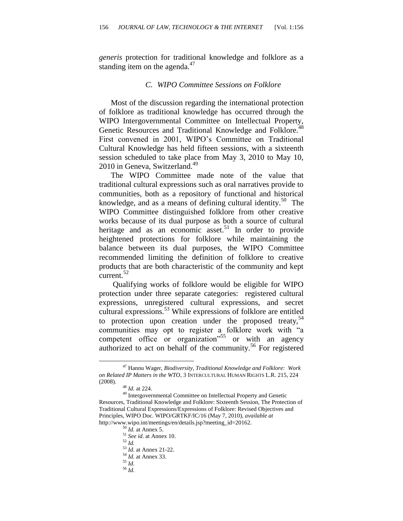*generis* protection for traditional knowledge and folklore as a standing item on the agenda. $47$ 

#### *C. WIPO Committee Sessions on Folklore*

Most of the discussion regarding the international protection of folklore as traditional knowledge has occurred through the WIPO Intergovernmental Committee on Intellectual Property, Genetic Resources and Traditional Knowledge and Folklore.<sup>48</sup> First convened in 2001, WIPO's Committee on Traditional Cultural Knowledge has held fifteen sessions, with a sixteenth session scheduled to take place from May 3, 2010 to May 10, 2010 in Geneva, Switzerland.<sup>49</sup>

The WIPO Committee made note of the value that traditional cultural expressions such as oral narratives provide to communities, both as a repository of functional and historical knowledge, and as a means of defining cultural identity.<sup>50</sup> The WIPO Committee distinguished folklore from other creative works because of its dual purpose as both a source of cultural heritage and as an economic asset.<sup>51</sup> In order to provide heightened protections for folklore while maintaining the balance between its dual purposes, the WIPO Committee recommended limiting the definition of folklore to creative products that are both characteristic of the community and kept current.<sup>52</sup>

 Qualifying works of folklore would be eligible for WIPO protection under three separate categories: registered cultural expressions, unregistered cultural expressions, and secret cultural expressions.<sup>53</sup> While expressions of folklore are entitled to protection upon creation under the proposed treaty,  $54$ communities may opt to register a folklore work with "a competent office or organization<sup> $55$ </sup> or with an agency authorized to act on behalf of the community.<sup>56</sup> For registered

 $\overline{a}$ 

<sup>52</sup> *Id.*

- <sup>55</sup> *Id.*
- <sup>56</sup> *Id.*

<sup>47</sup> Hannu Wager, *Biodiversity, Traditional Knowledge and Folklore: Work on Related IP Matters in the WTO*, 3 INTERCULTURAL HUMAN RIGHTS L.R. 215, 224 (2008).

<sup>48</sup> *Id.* at 224.

<sup>49</sup> Intergovernmental Committee on Intellectual Property and Genetic Resources, Traditional Knowledge and Folklore: Sixteenth Session, The Protection of Traditional Cultural Expressions/Expressions of Folklore: Revised Objectives and Principles, WIPO Doc. WIPO/GRTKF/IC/16 (May 7, 2010), *available at* http://www.wipo.int/meetings/en/details.jsp?meeting\_id=20162.

<sup>50</sup> *Id.* at Annex 5.

<sup>51</sup> *See id.* at Annex 10.

<sup>53</sup> *Id.* at Annex 21-22.

<sup>54</sup> *Id.* at Annex 33.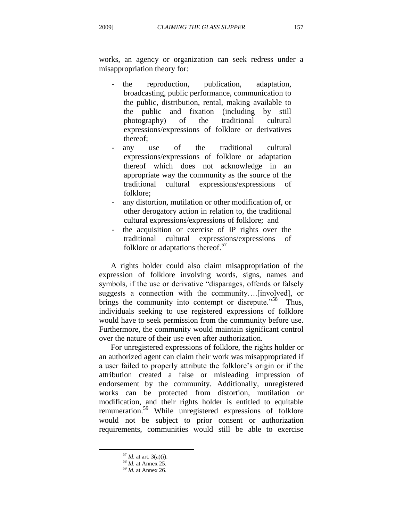works, an agency or organization can seek redress under a misappropriation theory for:

- the reproduction, publication, adaptation, broadcasting, public performance, communication to the public, distribution, rental, making available to the public and fixation (including by still photography) of the traditional cultural expressions/expressions of folklore or derivatives thereof;
- any use of the traditional cultural expressions/expressions of folklore or adaptation thereof which does not acknowledge in an appropriate way the community as the source of the traditional cultural expressions/expressions of folklore;
- any distortion, mutilation or other modification of, or other derogatory action in relation to, the traditional cultural expressions/expressions of folklore; and
- the acquisition or exercise of IP rights over the traditional cultural expressions/expressions of folklore or adaptations thereof.<sup>57</sup>

A rights holder could also claim misappropriation of the expression of folklore involving words, signs, names and symbols, if the use or derivative "disparages, offends or falsely suggests a connection with the community….[involved], or brings the community into contempt or disrepute."<sup>58</sup> Thus, individuals seeking to use registered expressions of folklore would have to seek permission from the community before use. Furthermore, the community would maintain significant control over the nature of their use even after authorization.

For unregistered expressions of folklore, the rights holder or an authorized agent can claim their work was misappropriated if a user failed to properly attribute the folklore"s origin or if the attribution created a false or misleading impression of endorsement by the community. Additionally, unregistered works can be protected from distortion, mutilation or modification, and their rights holder is entitled to equitable remuneration.<sup>59</sup> While unregistered expressions of folklore would not be subject to prior consent or authorization requirements, communities would still be able to exercise

<sup>57</sup> *Id.* at art. 3(a)(i).

<sup>58</sup> *Id.* at Annex 25.

<sup>59</sup> *Id.* at Annex 26.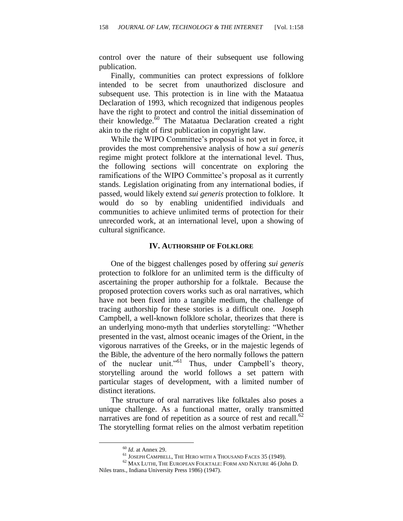control over the nature of their subsequent use following publication.

Finally, communities can protect expressions of folklore intended to be secret from unauthorized disclosure and subsequent use. This protection is in line with the Mataatua Declaration of 1993, which recognized that indigenous peoples have the right to protect and control the initial dissemination of their knowledge. $60$  The Mataatua Declaration created a right akin to the right of first publication in copyright law.

While the WIPO Committee"s proposal is not yet in force, it provides the most comprehensive analysis of how a *sui generis* regime might protect folklore at the international level. Thus, the following sections will concentrate on exploring the ramifications of the WIPO Committee's proposal as it currently stands. Legislation originating from any international bodies, if passed, would likely extend *sui generis* protection to folklore. It would do so by enabling unidentified individuals and communities to achieve unlimited terms of protection for their unrecorded work, at an international level, upon a showing of cultural significance.

#### **IV. AUTHORSHIP OF FOLKLORE**

One of the biggest challenges posed by offering *sui generis* protection to folklore for an unlimited term is the difficulty of ascertaining the proper authorship for a folktale. Because the proposed protection covers works such as oral narratives, which have not been fixed into a tangible medium, the challenge of tracing authorship for these stories is a difficult one. Joseph Campbell, a well-known folklore scholar, theorizes that there is an underlying mono-myth that underlies storytelling: "Whether presented in the vast, almost oceanic images of the Orient, in the vigorous narratives of the Greeks, or in the majestic legends of the Bible, the adventure of the hero normally follows the pattern of the nuclear unit."<sup>61</sup> Thus, under Campbell's theory, storytelling around the world follows a set pattern with particular stages of development, with a limited number of distinct iterations.

The structure of oral narratives like folktales also poses a unique challenge. As a functional matter, orally transmitted narratives are fond of repetition as a source of rest and recall.<sup>62</sup> The storytelling format relies on the almost verbatim repetition

<sup>60</sup> *Id.* at Annex 29.

 $^{61}$  JOSEPH CAMPBELL, THE HERO WITH A THOUSAND FACES 35 (1949).

<sup>62</sup> MAX LUTHI, THE EUROPEAN FOLKTALE: FORM AND NATURE 46 (John D. Niles trans., Indiana University Press 1986) (1947).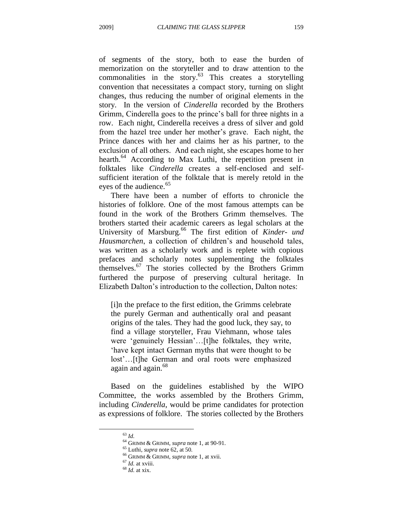of segments of the story, both to ease the burden of memorization on the storyteller and to draw attention to the commonalities in the story. <sup>63</sup> This creates a storytelling convention that necessitates a compact story, turning on slight changes, thus reducing the number of original elements in the story. In the version of *Cinderella* recorded by the Brothers Grimm, Cinderella goes to the prince"s ball for three nights in a row. Each night, Cinderella receives a dress of silver and gold from the hazel tree under her mother"s grave. Each night, the Prince dances with her and claims her as his partner, to the exclusion of all others. And each night, she escapes home to her hearth.<sup>64</sup> According to Max Luthi, the repetition present in folktales like *Cinderella* creates a self-enclosed and selfsufficient iteration of the folktale that is merely retold in the eyes of the audience.<sup>65</sup>

There have been a number of efforts to chronicle the histories of folklore. One of the most famous attempts can be found in the work of the Brothers Grimm themselves. The brothers started their academic careers as legal scholars at the University of Marsburg.<sup>66</sup> The first edition of *Kinder- und Hausmarchen*, a collection of children's and household tales, was written as a scholarly work and is replete with copious prefaces and scholarly notes supplementing the folktales themselves. $67$  The stories collected by the Brothers Grimm furthered the purpose of preserving cultural heritage. In Elizabeth Dalton"s introduction to the collection, Dalton notes:

[i]n the preface to the first edition, the Grimms celebrate the purely German and authentically oral and peasant origins of the tales. They had the good luck, they say, to find a village storyteller, Frau Viehmann, whose tales were 'genuinely Hessian'...[t]he folktales, they write, "have kept intact German myths that were thought to be lost'...[t]he German and oral roots were emphasized again and again.<sup>68</sup>

Based on the guidelines established by the WIPO Committee, the works assembled by the Brothers Grimm, including *Cinderella*, would be prime candidates for protection as expressions of folklore. The stories collected by the Brothers

<sup>63</sup> *Id.*

<sup>64</sup> GRIMM & GRIMM, *supra* note 1, at 90-91.

<sup>65</sup> Luthi, *supra* note 62, at 50.

<sup>66</sup> GRIMM & GRIMM, *supra* note 1, at xvii.

<sup>67</sup> *Id.* at xviii.

<sup>68</sup> *Id.* at xix.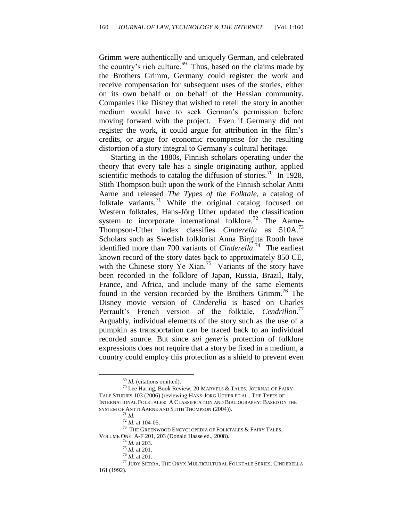Grimm were authentically and uniquely German, and celebrated the country's rich culture.<sup>69</sup> Thus, based on the claims made by the Brothers Grimm, Germany could register the work and receive compensation for subsequent uses of the stories, either on its own behalf or on behalf of the Hessian community. Companies like Disney that wished to retell the story in another medium would have to seek German"s permission before moving forward with the project. Even if Germany did not register the work, it could argue for attribution in the film"s credits, or argue for economic recompense for the resulting distortion of a story integral to Germany's cultural heritage.

Starting in the 1880s, Finnish scholars operating under the theory that every tale has a single originating author, applied scientific methods to catalog the diffusion of stories.<sup>70</sup> In 1928, Stith Thompson built upon the work of the Finnish scholar Antti Aarne and released *The Types of the Folktale*, a catalog of folktale variants.<sup>71</sup> While the original catalog focused on Western folktales, Hans-Jörg Uther updated the classification system to incorporate international folklore.<sup>72</sup> The Aarne-Thompson-Uther index classifies *Cinderella* as 510A.<sup>73</sup> Scholars such as Swedish folklorist Anna Birgitta Rooth have identified more than 700 variants of *Cinderella*. 74 The earliest known record of the story dates back to approximately 850 CE, with the Chinese story Ye Xian.<sup>75</sup> Variants of the story have been recorded in the folklore of Japan, Russia, Brazil, Italy, France, and Africa, and include many of the same elements found in the version recorded by the Brothers Grimm.<sup>76</sup> The Disney movie version of *Cinderella* is based on Charles Perrault's French version of the folktale, *Cendrillon*.<sup>77</sup> Arguably, individual elements of the story such as the use of a pumpkin as transportation can be traced back to an individual recorded source. But since *sui generis* protection of folklore expressions does not require that a story be fixed in a medium, a country could employ this protection as a shield to prevent even

<sup>&</sup>lt;sup>69</sup> *Id.* (citations omitted).

 $^{70}$  Lee Haring, Book Review, 20 MARVELS & TALES: JOURNAL OF FAIRY-TALE STUDIES 103 (2006) (reviewing HANS-JORG UTHER ET AL., THE TYPES OF INTERNATIONAL FOLKTALES: A CLASSIFICATION AND BIBLIOGRAPHY: BASED ON THE SYSTEM OF ANTTI AARNE AND STITH THOMPSON (2004)).

<sup>71</sup> *Id.*

 $^{72}$  *Id.* at 104-05.

<sup>&</sup>lt;sup>73</sup> THE GREENWOOD ENCYCLOPEDIA OF FOLKTALES & FAIRY TALES, VOLUME ONE: A-F 201, 203 (Donald Haase ed., 2008).

<sup>74</sup> *Id.* at 203.

<sup>75</sup> *Id.* at 201.

<sup>76</sup> *Id.* at 201.

<sup>77</sup> JUDY SIERRA, THE ORYX MULTICULTURAL FOLKTALE SERIES: CINDERELLA 161 (1992).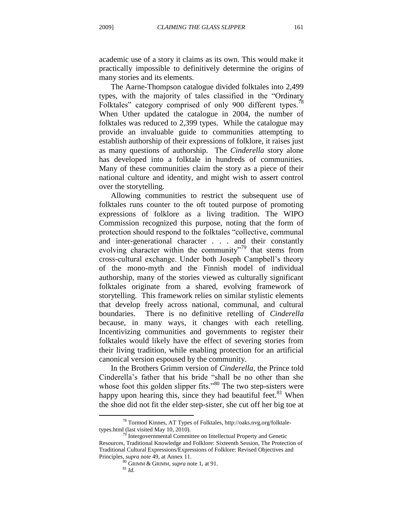academic use of a story it claims as its own. This would make it practically impossible to definitively determine the origins of many stories and its elements.

The Aarne-Thompson catalogue divided folktales into 2,499 types, with the majority of tales classified in the "Ordinary Folktales" category comprised of only 900 different types.<sup>78</sup> When Uther updated the catalogue in 2004, the number of folktales was reduced to 2,399 types. While the catalogue may provide an invaluable guide to communities attempting to establish authorship of their expressions of folklore, it raises just as many questions of authorship. The *Cinderella* story alone has developed into a folktale in hundreds of communities. Many of these communities claim the story as a piece of their national culture and identity, and might wish to assert control over the storytelling.

Allowing communities to restrict the subsequent use of folktales runs counter to the oft touted purpose of promoting expressions of folklore as a living tradition. The WIPO Commission recognized this purpose, noting that the form of protection should respond to the folktales "collective, communal and inter-generational character . . . and their constantly evolving character within the community<sup>79</sup> that stems from cross-cultural exchange. Under both Joseph Campbell"s theory of the mono-myth and the Finnish model of individual authorship, many of the stories viewed as culturally significant folktales originate from a shared, evolving framework of storytelling. This framework relies on similar stylistic elements that develop freely across national, communal, and cultural boundaries. There is no definitive retelling of *Cinderella* because, in many ways, it changes with each retelling. Incentivizing communities and governments to register their folktales would likely have the effect of severing stories from their living tradition, while enabling protection for an artificial canonical version espoused by the community.

In the Brothers Grimm version of *Cinderella*, the Prince told Cinderella"s father that his bride "shall be no other than she whose foot this golden slipper fits."<sup>80</sup> The two step-sisters were happy upon hearing this, since they had beautiful feet.<sup>81</sup> When the shoe did not fit the elder step-sister, she cut off her big toe at

<sup>78</sup> Tormod Kinnes, AT Types of Folktales, http://oaks.nvg.org/folktaletypes.html (last visited May 10, 2010).

 $79$  Intergovernmental Committee on Intellectual Property and Genetic Resources, Traditional Knowledge and Folklore: Sixteenth Session, The Protection of Traditional Cultural Expressions/Expressions of Folklore: Revised Objectives and Principles, *supra* note 49, at Annex 11.

<sup>80</sup> GRIMM & GRIMM, *supra* note 1, at 91.

<sup>81</sup> *Id.*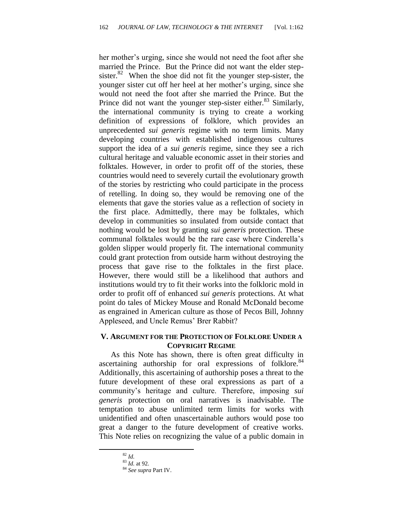her mother"s urging, since she would not need the foot after she married the Prince. But the Prince did not want the elder stepsister. $82$  When the shoe did not fit the younger step-sister, the younger sister cut off her heel at her mother"s urging, since she would not need the foot after she married the Prince. But the Prince did not want the younger step-sister either. $83$  Similarly, the international community is trying to create a working definition of expressions of folklore, which provides an unprecedented *sui generis* regime with no term limits. Many developing countries with established indigenous cultures support the idea of a *sui generis* regime, since they see a rich cultural heritage and valuable economic asset in their stories and folktales. However, in order to profit off of the stories, these countries would need to severely curtail the evolutionary growth of the stories by restricting who could participate in the process of retelling. In doing so, they would be removing one of the elements that gave the stories value as a reflection of society in the first place. Admittedly, there may be folktales, which develop in communities so insulated from outside contact that nothing would be lost by granting *sui generis* protection. These communal folktales would be the rare case where Cinderella"s golden slipper would properly fit. The international community could grant protection from outside harm without destroying the process that gave rise to the folktales in the first place. However, there would still be a likelihood that authors and institutions would try to fit their works into the folkloric mold in order to profit off of enhanced *sui generis* protections. At what point do tales of Mickey Mouse and Ronald McDonald become as engrained in American culture as those of Pecos Bill, Johnny Appleseed, and Uncle Remus' Brer Rabbit?

# **V. ARGUMENT FOR THE PROTECTION OF FOLKLORE UNDER A COPYRIGHT REGIME**

As this Note has shown, there is often great difficulty in ascertaining authorship for oral expressions of folklore. $84$ Additionally, this ascertaining of authorship poses a threat to the future development of these oral expressions as part of a community"s heritage and culture. Therefore, imposing *sui generis* protection on oral narratives is inadvisable. The temptation to abuse unlimited term limits for works with unidentified and often unascertainable authors would pose too great a danger to the future development of creative works. This Note relies on recognizing the value of a public domain in

<sup>82</sup> *Id.*

 $^{83}$  *Id.* at 92.

<sup>84</sup> *See supra* Part IV.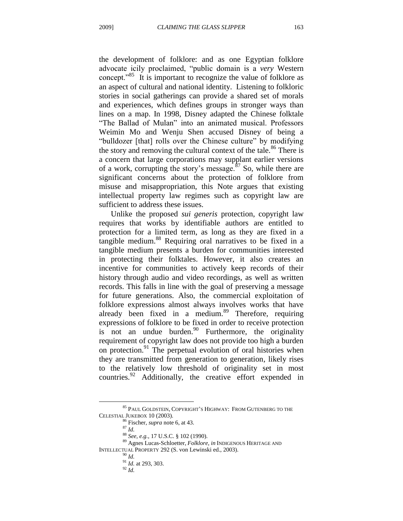the development of folklore: and as one Egyptian folklore advocate icily proclaimed, "public domain is a *very* Western concept."<sup>85</sup> It is important to recognize the value of folklore as an aspect of cultural and national identity. Listening to folkloric stories in social gatherings can provide a shared set of morals and experiences, which defines groups in stronger ways than lines on a map. In 1998, Disney adapted the Chinese folktale "The Ballad of Mulan" into an animated musical. Professors Weimin Mo and Wenju Shen accused Disney of being a "bulldozer [that] rolls over the Chinese culture" by modifying the story and removing the cultural context of the tale.<sup>86</sup> There is a concern that large corporations may supplant earlier versions of a work, corrupting the story's message. $87$  So, while there are significant concerns about the protection of folklore from misuse and misappropriation, this Note argues that existing intellectual property law regimes such as copyright law are sufficient to address these issues.

Unlike the proposed *sui generis* protection, copyright law requires that works by identifiable authors are entitled to protection for a limited term, as long as they are fixed in a tangible medium.<sup>88</sup> Requiring oral narratives to be fixed in a tangible medium presents a burden for communities interested in protecting their folktales. However, it also creates an incentive for communities to actively keep records of their history through audio and video recordings, as well as written records. This falls in line with the goal of preserving a message for future generations. Also, the commercial exploitation of folklore expressions almost always involves works that have already been fixed in a medium.<sup>89</sup> Therefore, requiring expressions of folklore to be fixed in order to receive protection is not an undue burden. <sup>90</sup> Furthermore, the originality requirement of copyright law does not provide too high a burden on protection.<sup>91</sup> The perpetual evolution of oral histories when they are transmitted from generation to generation, likely rises to the relatively low threshold of originality set in most countries.<sup>92</sup> Additionally, the creative effort expended in

 $^{85}$  PAUL GOLDSTEIN, COPYRIGHT'S HIGHWAY: FROM GUTENBERG TO THE CELESTIAL JUKEBOX 10 (2003).

<sup>86</sup> Fischer, *supra* note 6, at 43.

<sup>87</sup> *Id.*

<sup>88</sup> *See, e.g.*, 17 U.S.C. § 102 (1990).

<sup>89</sup> Agnes Lucas-Schloetter, *Folklore*, *in* INDIGENOUS HERITAGE AND INTELLECTUAL PROPERTY 292 (S. von Lewinski ed., 2003).

 $^0$  *Id.* 

<sup>91</sup> *Id.* at 293, 303.

<sup>92</sup> *Id.*